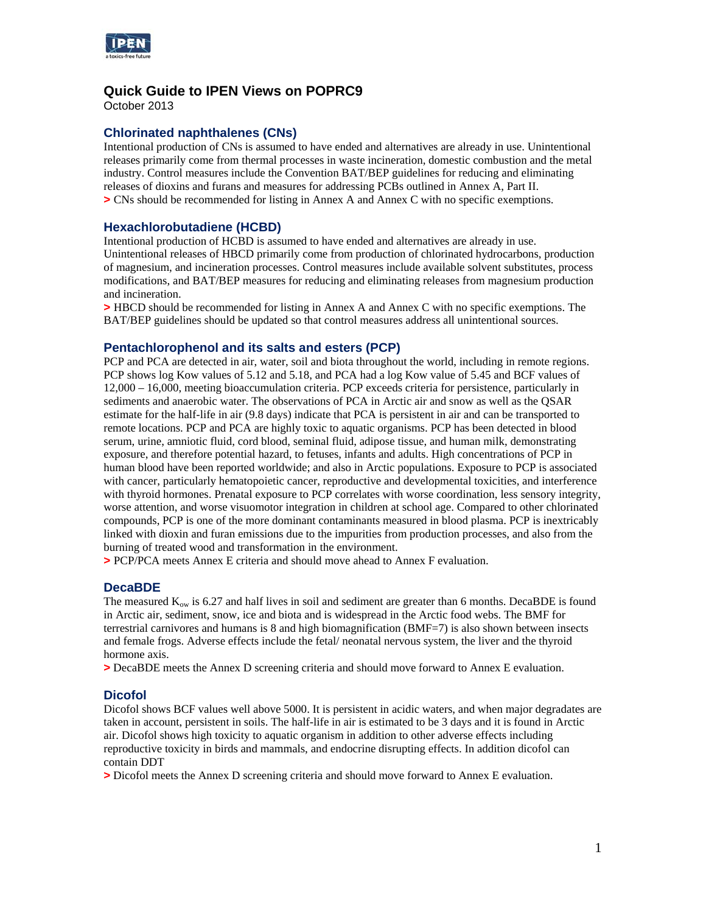

# **Quick Guide to IPEN Views on POPRC9**

October 2013

# **Chlorinated naphthalenes (CNs)**

Intentional production of CNs is assumed to have ended and alternatives are already in use. Unintentional releases primarily come from thermal processes in waste incineration, domestic combustion and the metal industry. Control measures include the Convention BAT/BEP guidelines for reducing and eliminating releases of dioxins and furans and measures for addressing PCBs outlined in Annex A, Part II. **>** CNs should be recommended for listing in Annex A and Annex C with no specific exemptions.

# **Hexachlorobutadiene (HCBD)**

Intentional production of HCBD is assumed to have ended and alternatives are already in use. Unintentional releases of HBCD primarily come from production of chlorinated hydrocarbons, production of magnesium, and incineration processes. Control measures include available solvent substitutes, process modifications, and BAT/BEP measures for reducing and eliminating releases from magnesium production and incineration.

**>** HBCD should be recommended for listing in Annex A and Annex C with no specific exemptions. The BAT/BEP guidelines should be updated so that control measures address all unintentional sources.

# **Pentachlorophenol and its salts and esters (PCP)**

PCP and PCA are detected in air, water, soil and biota throughout the world, including in remote regions. PCP shows log Kow values of 5.12 and 5.18, and PCA had a log Kow value of 5.45 and BCF values of 12,000 – 16,000, meeting bioaccumulation criteria. PCP exceeds criteria for persistence, particularly in sediments and anaerobic water. The observations of PCA in Arctic air and snow as well as the QSAR estimate for the half-life in air (9.8 days) indicate that PCA is persistent in air and can be transported to remote locations. PCP and PCA are highly toxic to aquatic organisms. PCP has been detected in blood serum, urine, amniotic fluid, cord blood, seminal fluid, adipose tissue, and human milk, demonstrating exposure, and therefore potential hazard, to fetuses, infants and adults. High concentrations of PCP in human blood have been reported worldwide; and also in Arctic populations. Exposure to PCP is associated with cancer, particularly hematopoietic cancer, reproductive and developmental toxicities, and interference with thyroid hormones. Prenatal exposure to PCP correlates with worse coordination, less sensory integrity, worse attention, and worse visuomotor integration in children at school age. Compared to other chlorinated compounds, PCP is one of the more dominant contaminants measured in blood plasma. PCP is inextricably linked with dioxin and furan emissions due to the impurities from production processes, and also from the burning of treated wood and transformation in the environment.

**>** PCP/PCA meets Annex E criteria and should move ahead to Annex F evaluation.

### **DecaBDE**

The measured  $K_{ow}$  is 6.27 and half lives in soil and sediment are greater than 6 months. DecaBDE is found in Arctic air, sediment, snow, ice and biota and is widespread in the Arctic food webs. The BMF for terrestrial carnivores and humans is 8 and high biomagnification (BMF=7) is also shown between insects and female frogs. Adverse effects include the fetal/ neonatal nervous system, the liver and the thyroid hormone axis.

**>** DecaBDE meets the Annex D screening criteria and should move forward to Annex E evaluation.

# **Dicofol**

Dicofol shows BCF values well above 5000. It is persistent in acidic waters, and when major degradates are taken in account, persistent in soils. The half-life in air is estimated to be 3 days and it is found in Arctic air. Dicofol shows high toxicity to aquatic organism in addition to other adverse effects including reproductive toxicity in birds and mammals, and endocrine disrupting effects. In addition dicofol can contain DDT

**>** Dicofol meets the Annex D screening criteria and should move forward to Annex E evaluation.